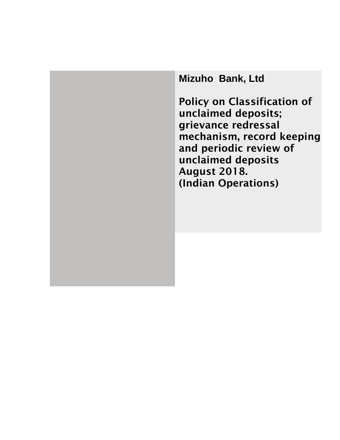**Mizuho Bank, Ltd**

Policy on Classification of unclaimed deposits; grievance redressal mechanism, record keeping and periodic review of unclaimed deposits August 2018. (Indian Operations)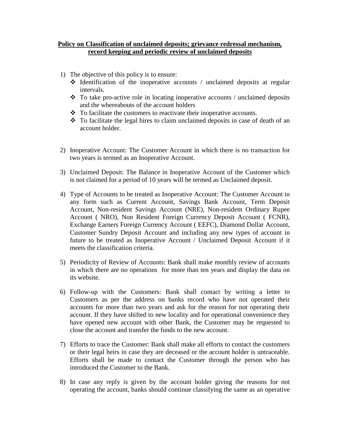## **Policy on Classification of unclaimed deposits; grievance redressal mechanism, record keeping and periodic review of unclaimed deposits**

- 1) The objective of this policy is to ensure:
	- $\triangle$  Identification of the inoperative accounts / unclaimed deposits at regular intervals.
	- To take pro-active role in locating inoperative accounts / unclaimed deposits and the whereabouts of the account holders
	- $\div$  To facilitate the customers to reactivate their inoperative accounts.
	- $\cdot \cdot$  To facilitate the legal hires to claim unclaimed deposits in case of death of an account holder.
- 2) Inoperative Account: The Customer Account in which there is no transaction for two years is termed as an Inoperative Account.
- 3) Unclaimed Deposit: The Balance in Inoperative Account of the Customer which is not claimed for a period of 10 years will be termed as Unclaimed deposit.
- 4) Type of Accounts to be treated as Inoperative Account: The Customer Account in any form such as Current Account, Savings Bank Account, Term Deposit Account, Non-resident Savings Account (NRE), Non-resident Ordinary Rupee Account ( NRO), Non Resident Foreign Currency Deposit Account ( FCNR), Exchange Earners Foreign Currency Account ( EEFC), Diamond Dollar Account, Customer Sundry Deposit Account and including any new types of account in future to be treated as Inoperative Account / Unclaimed Deposit Account if it meets the classification criteria.
- 5) Periodicity of Review of Accounts: Bank shall make monthly review of accounts in which there are no operations for more than ten years and display the data on its website.
- 6) Follow-up with the Customers: Bank shall contact by writing a letter to Customers as per the address on banks record who have not operated their accounts for more than two years and ask for the reason for not operating their account. If they have shifted to new locality and for operational convenience they have opened new account with other Bank, the Customer may be requested to close the account and transfer the funds to the new account.
- 7) Efforts to trace the Customer: Bank shall make all efforts to contact the customers or their legal heirs in case they are deceased or the account holder is untraceable. Efforts shall be made to contact the Customer through the person who has introduced the Customer to the Bank.
- 8) In case any reply is given by the account holder giving the reasons for not operating the account, banks should continue classifying the same as an operative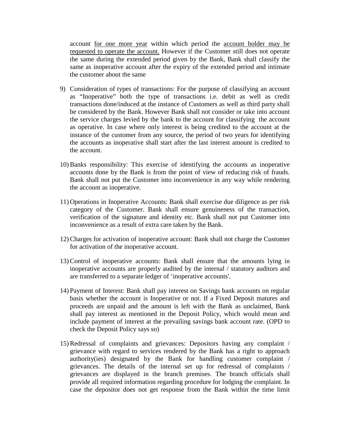account for one more year within which period the account holder may be requested to operate the account. However if the Customer still does not operate the same during the extended period given by the Bank, Bank shall classify the same as inoperative account after the expiry of the extended period and intimate the customer about the same

- 9) Consideration of types of transactions: For the purpose of classifying an account as "Inoperative" both the type of transactions i.e. debit as well as credit transactions done/induced at the instance of Customers as well as third party shall be considered by the Bank. However Bank shall not consider or take into account the service charges levied by the bank to the account for classifying the account as operative. In case where only interest is being credited to the account at the instance of the customer from any source, the period of two years for identifying the accounts as inoperative shall start after the last interest amount is credited to the account.
- 10) Banks responsibility: This exercise of identifying the accounts as inoperative accounts done by the Bank is from the point of view of reducing risk of frauds. Bank shall not put the Customer into inconvenience in any way while rendering the account as inoperative.
- 11) Operations in Inoperative Accounts: Bank shall exercise due diligence as per risk category of the Customer. Bank shall ensure genuineness of the transaction, verification of the signature and identity etc. Bank shall not put Customer into inconvenience as a result of extra care taken by the Bank.
- 12) Charges for activation of inoperative account: Bank shall not charge the Customer for activation of the inoperative account.
- 13) Control of inoperative accounts: Bank shall ensure that the amounts lying in inoperative accounts are properly audited by the internal / statutory auditors and are transferred to a separate ledger of 'inoperative accounts'.
- 14) Payment of Interest: Bank shall pay interest on Savings bank accounts on regular basis whether the account is Inoperative or not. If a Fixed Deposit matures and proceeds are unpaid and the amount is left with the Bank as unclaimed, Bank shall pay interest as mentioned in the Deposit Policy, which would mean and include payment of interest at the prevailing savings bank account rate. (OPD to check the Deposit Policy says so)
- 15) Redressal of complaints and grievances: Depositors having any complaint / grievance with regard to services rendered by the Bank has a right to approach authority(ies) designated by the Bank for handling customer complaint / grievances. The details of the internal set up for redressal of complaints / grievances are displayed in the branch premises. The branch officials shall provide all required information regarding procedure for lodging the complaint. In case the depositor does not get response from the Bank within the time limit